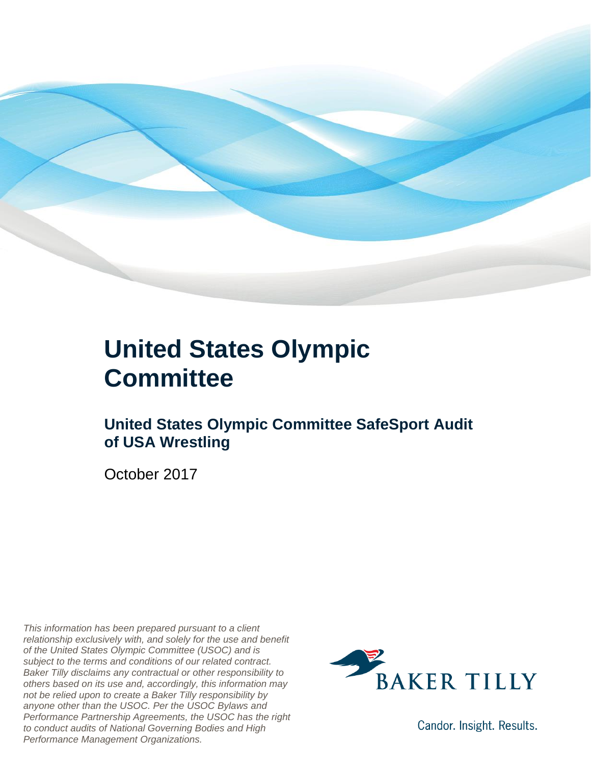

### **United States Olympic Committee**

#### **United States Olympic Committee SafeSport Audit of USA Wrestling**

October 2017

*This information has been prepared pursuant to a client relationship exclusively with, and solely for the use and benefit of the United States Olympic Committee (USOC) and is subject to the terms and conditions of our related contract. Baker Tilly disclaims any contractual or other responsibility to others based on its use and, accordingly, this information may not be relied upon to create a Baker Tilly responsibility by anyone other than the USOC. Per the USOC Bylaws and Performance Partnership Agreements, the USOC has the right to conduct audits of National Governing Bodies and High Performance Management Organizations.*



Candor. Insight. Results.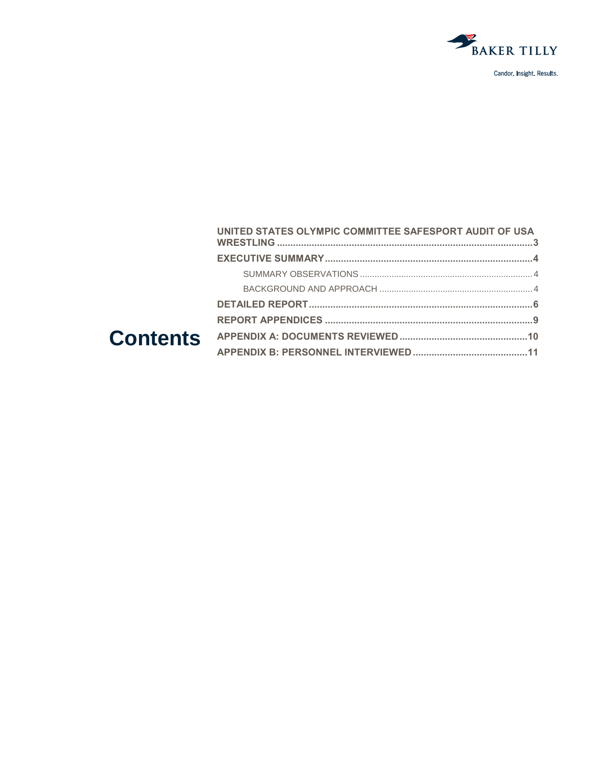

| UNITED STATES OLYMPIC COMMITTEE SAFESPORT AUDIT OF USA |  |
|--------------------------------------------------------|--|
|                                                        |  |
|                                                        |  |
|                                                        |  |
|                                                        |  |
|                                                        |  |
|                                                        |  |
|                                                        |  |
|                                                        |  |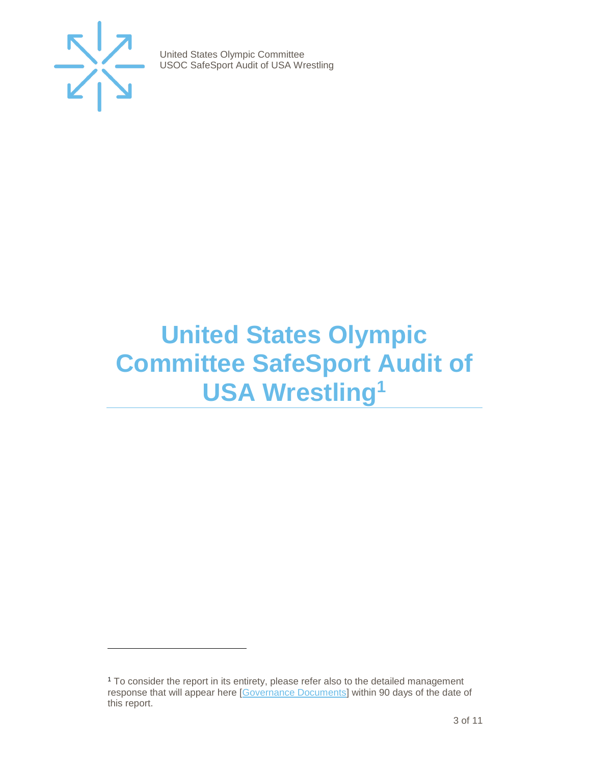

 $\overline{a}$ 

United States Olympic Committee USOC SafeSport Audit of USA Wrestling

## <span id="page-2-0"></span>**United States Olympic Committee SafeSport Audit of USA Wrestling<sup>1</sup>**

<sup>&</sup>lt;sup>1</sup> To consider the report in its entirety, please refer also to the detailed management response that will appear here [\[Governance Documents\]](https://www.teamusa.org/Footer/Legal/Governance-Documents) within 90 days of the date of this report.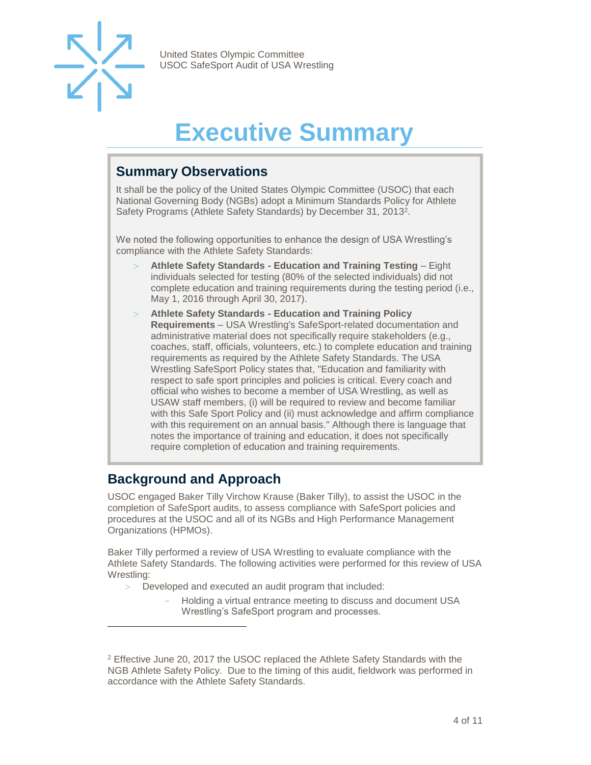

## **Executive Summary**

#### <span id="page-3-1"></span><span id="page-3-0"></span>**Summary Observations**

It shall be the policy of the United States Olympic Committee (USOC) that each National Governing Body (NGBs) adopt a Minimum Standards Policy for Athlete Safety Programs (Athlete Safety Standards) by December 31, 2013<sup>2</sup>.

We noted the following opportunities to enhance the design of USA Wrestling's compliance with the Athlete Safety Standards:

- **Athlete Safety Standards - Education and Training Testing**  Eight individuals selected for testing (80% of the selected individuals) did not complete education and training requirements during the testing period (i.e., May 1, 2016 through April 30, 2017).
- **Athlete Safety Standards - Education and Training Policy Requirements** – USA Wrestling's SafeSport-related documentation and administrative material does not specifically require stakeholders (e.g., coaches, staff, officials, volunteers, etc.) to complete education and training requirements as required by the Athlete Safety Standards. The USA Wrestling SafeSport Policy states that, "Education and familiarity with respect to safe sport principles and policies is critical. Every coach and official who wishes to become a member of USA Wrestling, as well as USAW staff members, (i) will be required to review and become familiar with this Safe Sport Policy and (ii) must acknowledge and affirm compliance with this requirement on an annual basis." Although there is language that notes the importance of training and education, it does not specifically require completion of education and training requirements.

#### <span id="page-3-2"></span>**Background and Approach**

l

USOC engaged Baker Tilly Virchow Krause (Baker Tilly), to assist the USOC in the completion of SafeSport audits, to assess compliance with SafeSport policies and procedures at the USOC and all of its NGBs and High Performance Management Organizations (HPMOs).

Baker Tilly performed a review of USA Wrestling to evaluate compliance with the Athlete Safety Standards. The following activities were performed for this review of USA Wrestling:

- Developed and executed an audit program that included:
	- Holding a virtual entrance meeting to discuss and document USA Wrestling's SafeSport program and processes.

<sup>2</sup> Effective June 20, 2017 the USOC replaced the Athlete Safety Standards with the NGB Athlete Safety Policy. Due to the timing of this audit, fieldwork was performed in accordance with the Athlete Safety Standards.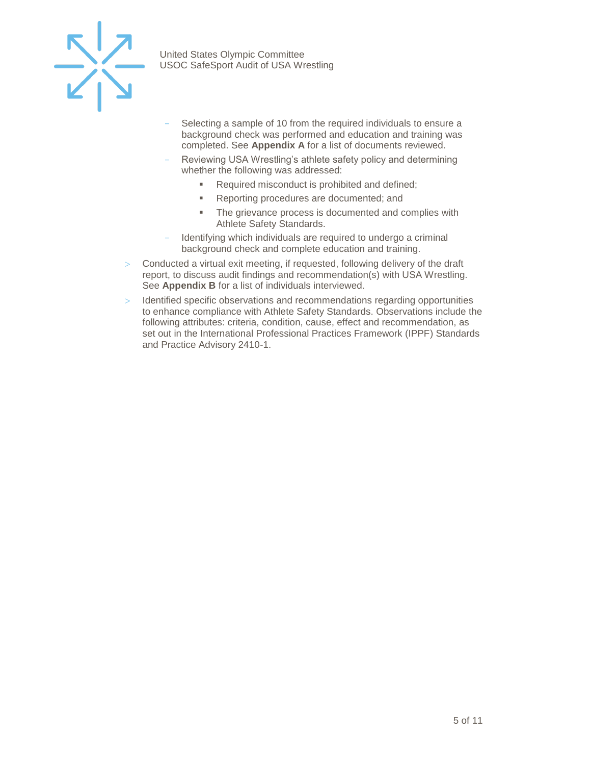

- Selecting a sample of 10 from the required individuals to ensure a background check was performed and education and training was completed. See **Appendix A** for a list of documents reviewed.
- Reviewing USA Wrestling's athlete safety policy and determining whether the following was addressed:
	- Required misconduct is prohibited and defined;
	- Reporting procedures are documented; and
	- **The grievance process is documented and complies with** Athlete Safety Standards.
- Identifying which individuals are required to undergo a criminal background check and complete education and training.
- $>$  Conducted a virtual exit meeting, if requested, following delivery of the draft report, to discuss audit findings and recommendation(s) with USA Wrestling. See **Appendix B** for a list of individuals interviewed.
- $>$  Identified specific observations and recommendations regarding opportunities to enhance compliance with Athlete Safety Standards. Observations include the following attributes: criteria, condition, cause, effect and recommendation, as set out in the International Professional Practices Framework (IPPF) Standards and Practice Advisory 2410-1.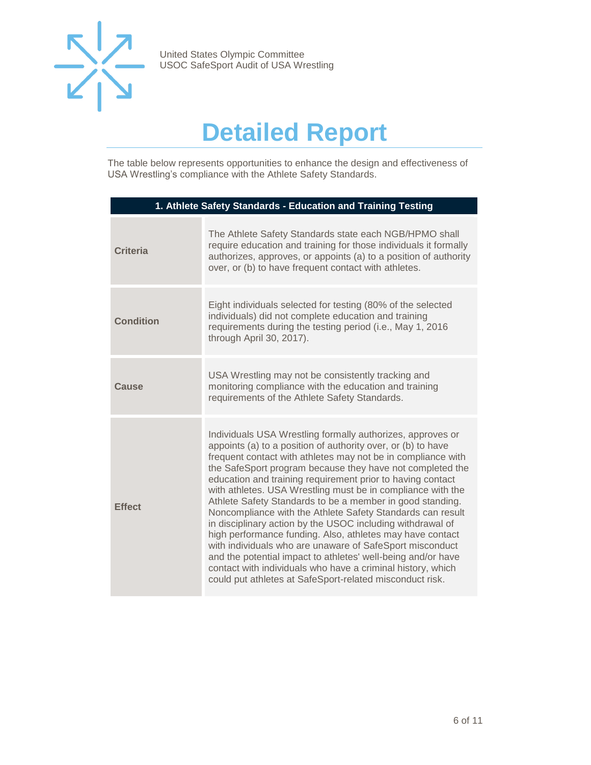

## **Detailed Report**

<span id="page-5-0"></span>The table below represents opportunities to enhance the design and effectiveness of USA Wrestling's compliance with the Athlete Safety Standards.

| 1. Athlete Safety Standards - Education and Training Testing |                                                                                                                                                                                                                                                                                                                                                                                                                                                                                                                                                                                                                                                                                                                                                                                                                                                                                                   |  |
|--------------------------------------------------------------|---------------------------------------------------------------------------------------------------------------------------------------------------------------------------------------------------------------------------------------------------------------------------------------------------------------------------------------------------------------------------------------------------------------------------------------------------------------------------------------------------------------------------------------------------------------------------------------------------------------------------------------------------------------------------------------------------------------------------------------------------------------------------------------------------------------------------------------------------------------------------------------------------|--|
| <b>Criteria</b>                                              | The Athlete Safety Standards state each NGB/HPMO shall<br>require education and training for those individuals it formally<br>authorizes, approves, or appoints (a) to a position of authority<br>over, or (b) to have frequent contact with athletes.                                                                                                                                                                                                                                                                                                                                                                                                                                                                                                                                                                                                                                            |  |
| <b>Condition</b>                                             | Eight individuals selected for testing (80% of the selected<br>individuals) did not complete education and training<br>requirements during the testing period (i.e., May 1, 2016<br>through April 30, 2017).                                                                                                                                                                                                                                                                                                                                                                                                                                                                                                                                                                                                                                                                                      |  |
| Cause                                                        | USA Wrestling may not be consistently tracking and<br>monitoring compliance with the education and training<br>requirements of the Athlete Safety Standards.                                                                                                                                                                                                                                                                                                                                                                                                                                                                                                                                                                                                                                                                                                                                      |  |
| <b>Effect</b>                                                | Individuals USA Wrestling formally authorizes, approves or<br>appoints (a) to a position of authority over, or (b) to have<br>frequent contact with athletes may not be in compliance with<br>the SafeSport program because they have not completed the<br>education and training requirement prior to having contact<br>with athletes. USA Wrestling must be in compliance with the<br>Athlete Safety Standards to be a member in good standing.<br>Noncompliance with the Athlete Safety Standards can result<br>in disciplinary action by the USOC including withdrawal of<br>high performance funding. Also, athletes may have contact<br>with individuals who are unaware of SafeSport misconduct<br>and the potential impact to athletes' well-being and/or have<br>contact with individuals who have a criminal history, which<br>could put athletes at SafeSport-related misconduct risk. |  |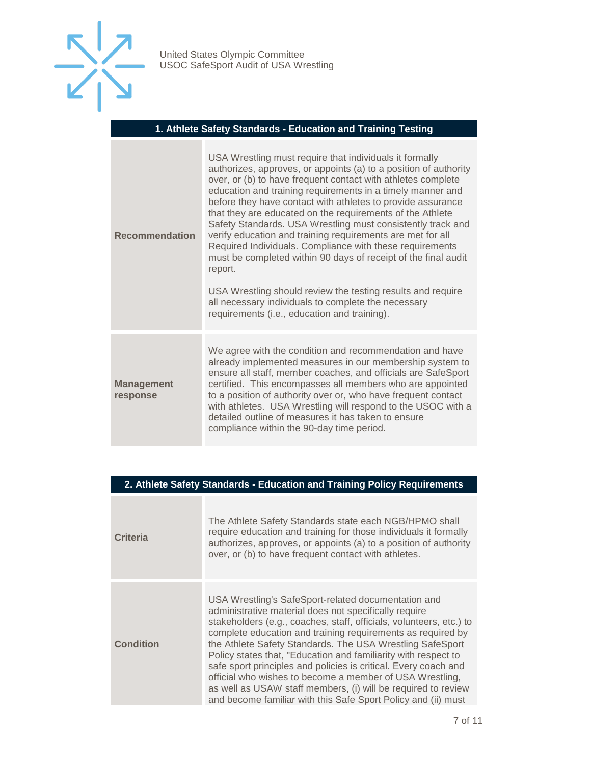

#### **1. Athlete Safety Standards - Education and Training Testing**

| <b>Recommendation</b>         | USA Wrestling must require that individuals it formally<br>authorizes, approves, or appoints (a) to a position of authority<br>over, or (b) to have frequent contact with athletes complete<br>education and training requirements in a timely manner and<br>before they have contact with athletes to provide assurance<br>that they are educated on the requirements of the Athlete<br>Safety Standards. USA Wrestling must consistently track and<br>verify education and training requirements are met for all<br>Required Individuals. Compliance with these requirements<br>must be completed within 90 days of receipt of the final audit<br>report.<br>USA Wrestling should review the testing results and require<br>all necessary individuals to complete the necessary<br>requirements (i.e., education and training). |
|-------------------------------|-----------------------------------------------------------------------------------------------------------------------------------------------------------------------------------------------------------------------------------------------------------------------------------------------------------------------------------------------------------------------------------------------------------------------------------------------------------------------------------------------------------------------------------------------------------------------------------------------------------------------------------------------------------------------------------------------------------------------------------------------------------------------------------------------------------------------------------|
| <b>Management</b><br>response | We agree with the condition and recommendation and have<br>already implemented measures in our membership system to<br>ensure all staff, member coaches, and officials are SafeSport<br>certified. This encompasses all members who are appointed<br>to a position of authority over or, who have frequent contact<br>with athletes. USA Wrestling will respond to the USOC with a<br>detailed outline of measures it has taken to ensure<br>compliance within the 90-day time period.                                                                                                                                                                                                                                                                                                                                            |

#### **2. Athlete Safety Standards - Education and Training Policy Requirements**

| <b>Criteria</b>  | The Athlete Safety Standards state each NGB/HPMO shall<br>require education and training for those individuals it formally<br>authorizes, approves, or appoints (a) to a position of authority<br>over, or (b) to have frequent contact with athletes.                                                                                                                                                                                                                                                                                                                                                                                             |
|------------------|----------------------------------------------------------------------------------------------------------------------------------------------------------------------------------------------------------------------------------------------------------------------------------------------------------------------------------------------------------------------------------------------------------------------------------------------------------------------------------------------------------------------------------------------------------------------------------------------------------------------------------------------------|
| <b>Condition</b> | USA Wrestling's SafeSport-related documentation and<br>administrative material does not specifically require<br>stakeholders (e.g., coaches, staff, officials, volunteers, etc.) to<br>complete education and training requirements as required by<br>the Athlete Safety Standards. The USA Wrestling SafeSport<br>Policy states that, "Education and familiarity with respect to<br>safe sport principles and policies is critical. Every coach and<br>official who wishes to become a member of USA Wrestling,<br>as well as USAW staff members, (i) will be required to review<br>and become familiar with this Safe Sport Policy and (ii) must |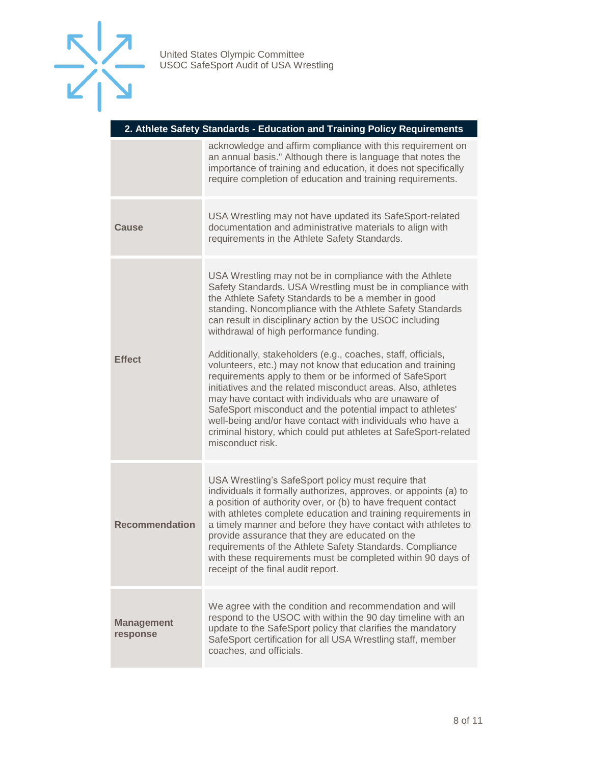

| 2. Athlete Safety Standards - Education and Training Policy Requirements |                                                                                                                                                                                                                                                                                                                                                                                                                                                                                                                                                                                                                                                                                                                                                                                                                                                                                    |
|--------------------------------------------------------------------------|------------------------------------------------------------------------------------------------------------------------------------------------------------------------------------------------------------------------------------------------------------------------------------------------------------------------------------------------------------------------------------------------------------------------------------------------------------------------------------------------------------------------------------------------------------------------------------------------------------------------------------------------------------------------------------------------------------------------------------------------------------------------------------------------------------------------------------------------------------------------------------|
|                                                                          | acknowledge and affirm compliance with this requirement on<br>an annual basis." Although there is language that notes the<br>importance of training and education, it does not specifically<br>require completion of education and training requirements.                                                                                                                                                                                                                                                                                                                                                                                                                                                                                                                                                                                                                          |
| Cause                                                                    | USA Wrestling may not have updated its SafeSport-related<br>documentation and administrative materials to align with<br>requirements in the Athlete Safety Standards.                                                                                                                                                                                                                                                                                                                                                                                                                                                                                                                                                                                                                                                                                                              |
| <b>Effect</b>                                                            | USA Wrestling may not be in compliance with the Athlete<br>Safety Standards. USA Wrestling must be in compliance with<br>the Athlete Safety Standards to be a member in good<br>standing. Noncompliance with the Athlete Safety Standards<br>can result in disciplinary action by the USOC including<br>withdrawal of high performance funding.<br>Additionally, stakeholders (e.g., coaches, staff, officials,<br>volunteers, etc.) may not know that education and training<br>requirements apply to them or be informed of SafeSport<br>initiatives and the related misconduct areas. Also, athletes<br>may have contact with individuals who are unaware of<br>SafeSport misconduct and the potential impact to athletes'<br>well-being and/or have contact with individuals who have a<br>criminal history, which could put athletes at SafeSport-related<br>misconduct risk. |
| <b>Recommendation</b>                                                    | USA Wrestling's SafeSport policy must require that<br>individuals it formally authorizes, approves, or appoints (a) to<br>a position of authority over, or (b) to have frequent contact<br>with athletes complete education and training requirements in<br>a timely manner and before they have contact with athletes to<br>provide assurance that they are educated on the<br>requirements of the Athlete Safety Standards. Compliance<br>with these requirements must be completed within 90 days of<br>receipt of the final audit report.                                                                                                                                                                                                                                                                                                                                      |
| <b>Management</b><br>response                                            | We agree with the condition and recommendation and will<br>respond to the USOC with within the 90 day timeline with an<br>update to the SafeSport policy that clarifies the mandatory<br>SafeSport certification for all USA Wrestling staff, member<br>coaches, and officials.                                                                                                                                                                                                                                                                                                                                                                                                                                                                                                                                                                                                    |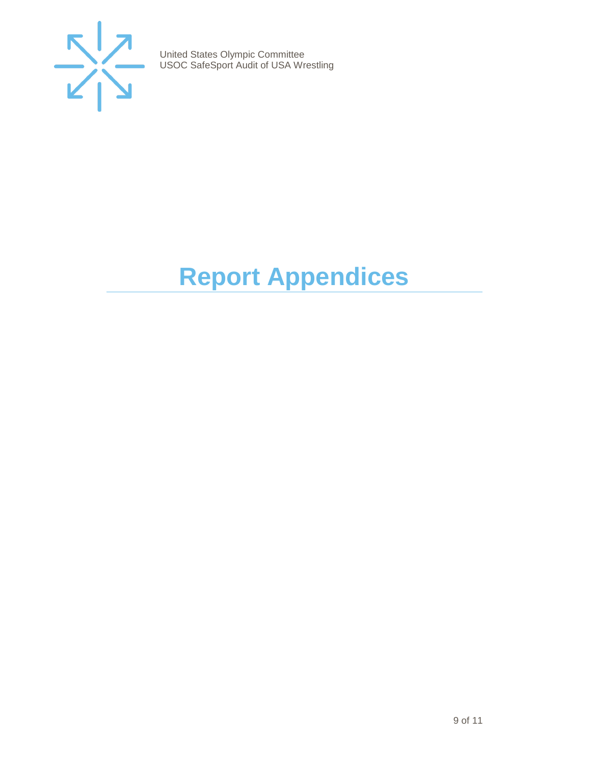

# <span id="page-8-0"></span>**Report Appendices**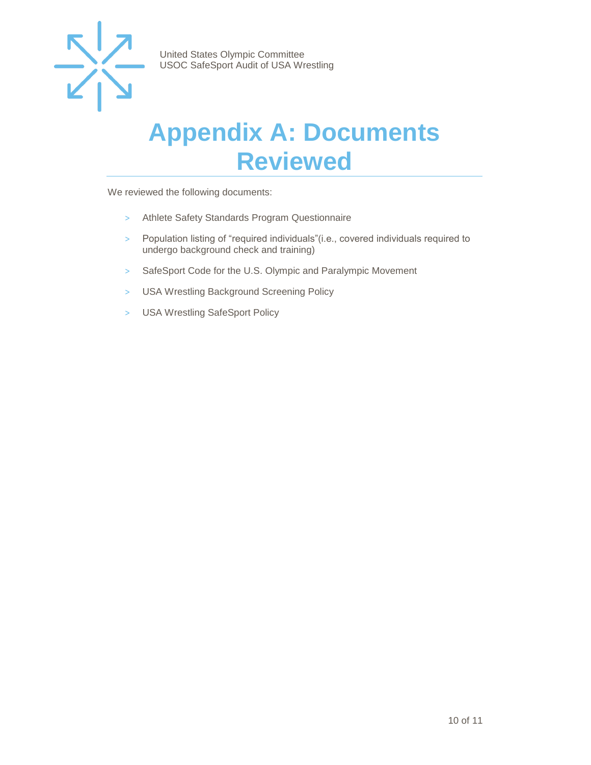

### <span id="page-9-0"></span>**Appendix A: Documents Reviewed**

We reviewed the following documents:

- > Athlete Safety Standards Program Questionnaire
- > Population listing of "required individuals"(i.e., covered individuals required to undergo background check and training)
- > SafeSport Code for the U.S. Olympic and Paralympic Movement
- > USA Wrestling Background Screening Policy
- > USA Wrestling SafeSport Policy